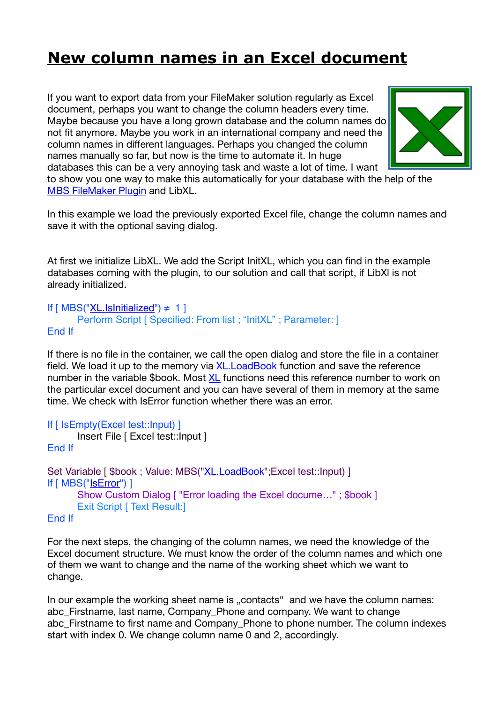## **[New column names in an Excel document](https://www.mbs-plugins.com/archive/2019-05-14/New_column_names_in_an_Excel_d/monkeybreadsoftware_blog_filemaker)**

If you want to export data from your FileMaker solution regularly as Excel document, perhaps you want to change the column headers every time. Maybe because you have a long grown database and the column names do not fit anymore. Maybe you work in an international company and need the column names in different languages. Perhaps you changed the column names manually so far, but now is the time to automate it. In huge databases this can be a very annoying task and waste a lot of time. I want



to show you one way to make this automatically for your database with the help of the [MBS FileMaker Plugin](http://monkeybreadsoftware.com/filemaker/) and LibXL.

In this example we load the previously exported Excel file, change the column names and save it with the optional saving dialog.

At first we initialize LibXL. We add the Script InitXL, which you can find in the example databases coming with the plugin, to our solution and call that script, if LibXl is not already initialized.

```
If [MBS("XL.lshriticalized") \neq 1]Perform Script [ Specified: From list ; "InitXL" ; Parameter: ]
End If
```
If there is no file in the container, we call the open dialog and store the file in a container field. We load it up to the memory via [XL.LoadBook](http://www.mbsplugins.eu/XLLoadBook.shtml) function and save the reference number in the variable \$book. Most [XL](http://www.mbsplugins.eu/component_XL.shtml) functions need this reference number to work on the particular excel document and you can have several of them in memory at the same time. We check with IsError function whether there was an error.

```
If [ IsEmpty(Excel test::Input) ]
      Insert File [ Excel test::Input ]
End If
XL.LoadBook"; Excel test:: Input) ]
If [ MBS("IsError") ]
      Show Custom Dialog [ "Error loading the Excel docume…" ; $book ]
      Exit Script [ Text Result:]
```
End If

For the next steps, the changing of the column names, we need the knowledge of the Excel document structure. We must know the order of the column names and which one of them we want to change and the name of the working sheet which we want to change.

In our example the working sheet name is "contacts" and we have the column names: abc Firstname, last name, Company Phone and company. We want to change abc Firstname to first name and Company Phone to phone number. The column indexes start with index 0. We change column name 0 and 2, accordingly.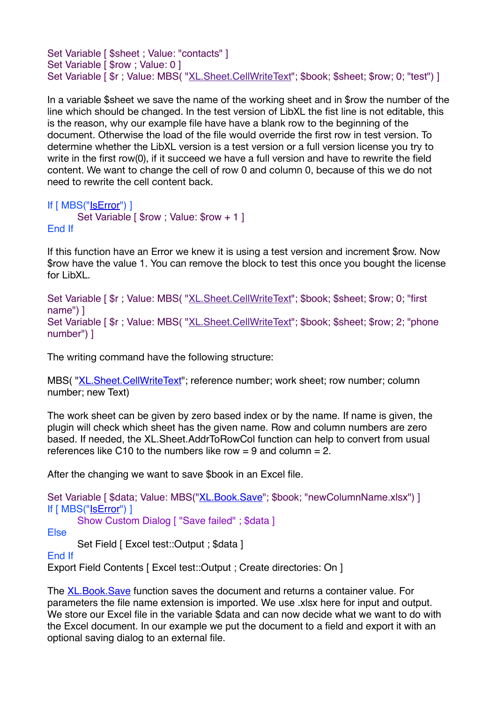Set Variable [ \$sheet ; Value: "contacts" ] Set Variable [ \$row ; Value: 0 ] Set Variable [\$r; Value: MBS("[XL.Sheet.CellWriteText](http://www.mbsplugins.eu/XLSheetCellWriteText.shtml)"; \$book; \$sheet; \$row; 0; "test") ]

In a variable \$sheet we save the name of the working sheet and in \$row the number of the line which should be changed. In the test version of LibXL the fist line is not editable, this is the reason, why our example file have have a blank row to the beginning of the document. Otherwise the load of the file would override the first row in test version. To determine whether the LibXL version is a test version or a full version license you try to write in the first row(0), if it succeed we have a full version and have to rewrite the field content. We want to change the cell of row 0 and column 0, because of this we do not need to rewrite the cell content back.

```
If [ MBS("IsError") ]
       Set Variable [ $row ; Value: $row + 1 ]
End If
```
If this function have an Error we knew it is using a test version and increment \$row. Now \$row have the value 1. You can remove the block to test this once you bought the license for LibXL.

Set Variable [\$r ; Value: MBS( "[XL.Sheet.CellWriteText](http://www.mbsplugins.eu/XLSheetCellWriteText.shtml)"; \$book; \$sheet; \$row; 0; "first name") ] Set Variable [  $r$  ; Value: MBS( "[XL.Sheet.CellWriteText](http://www.mbsplugins.eu/XLSheetCellWriteText.shtml)"; \$book; \$sheet; \$row; 2; "phone number") ]

The writing command have the following structure:

MBS( ["XL.Sheet.CellWriteText](http://www.mbsplugins.eu/XLSheetCellWriteText.shtml)"; reference number; work sheet; row number; column number; new Text)

The work sheet can be given by zero based index or by the name. If name is given, the plugin will check which sheet has the given name. Row and column numbers are zero based. If needed, the XL.Sheet.AddrToRowCol function can help to convert from usual references like C10 to the numbers like row  $= 9$  and column  $= 2$ .

After the changing we want to save \$book in an Excel file.

Set Variable [ \$data; Value: MBS("[XL.Book.Save"](http://www.mbsplugins.eu/XLBookSave.shtml); \$book; "newColumnName.xlsx") ] If [ MBS("[IsError"](http://www.mbsplugins.eu/iserror.shtml)) ] Show Custom Dialog [ "Save failed" ; \$data ] Else Set Field [ Excel test::Output ; \$data ] End If Export Field Contents [ Excel test:: Output : Create directories: On ]

The **XL.Book.Save** function saves the document and returns a container value. For parameters the file name extension is imported. We use .xlsx here for input and output. We store our Excel file in the variable \$data and can now decide what we want to do with the Excel document. In our example we put the document to a field and export it with an optional saving dialog to an external file.